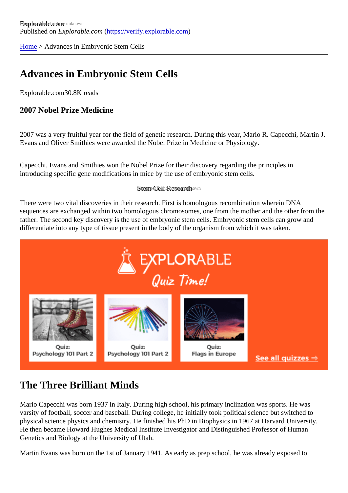[Home](https://verify.explorable.com/) > Advances in Embryonic Stem Cells

# Advances in Embryonic Stem Cells

Explorable.cor80.8K reads

2007 Nobel Prize Medicine

2007 was a very fruitful year for the field of genetic research. During this year, Mario R. Capecchi, Martin . Evans and Oliver Smithies were awarded the Nobel Prize in Medicine or Physiology.

Capecchi, Evans and Smithies won the Nobel Prize for their discovery regarding the principles in introducing specific gene modifications in mice by the use of embryonic stem cells.

### Stem Cell Research vn

There were two vital discoveries in their research. First is homologous recombination wherein DNA sequences are exchanged within two homologous chromosomes, one from the mother and the other from father. The second key discovery is the use of embryonic stem cells. Embryonic stem cells can grow and differentiate into any type of tissue present in the body of the organism from which it was taken.

### The Three Brilliant Minds

Mario Capecchi was born 1937 in Italy. During high school, his primary inclination was sports. He was varsity of football, soccer and baseball. During college, he initially took political science but switched to physical science physics and chemistry. He finished his PhD in Biophysics in 1967 at Harvard University. He then became Howard Hughes Medical Institute Investigator and Distinguished Professor of Human Genetics and Biology at the University of Utah.

Martin Evans was born on the 1st of January 1941. As early as prep school, he was already exposed to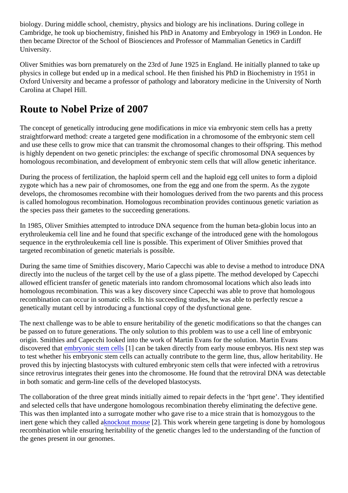biology. During middle school, chemistry, physics and biology are his inclinations. During college in Cambridge, he took up biochemistry, finished his PhD in Anatomy and Embryology in 1969 in London. He then became Director of the School of Biosciences and Professor of Mammalian Genetics in Cardiff University.

Oliver Smithies was born prematurely on the 23rd of June 1925 in England. He initially planned to take up physics in college but ended up in a medical school. He then finished his PhD in Biochemistry in 1951 in Oxford University and became a professor of pathology and laboratory medicine in the University of North Carolina at Chapel Hill.

### Route to Nobel Prize of 2007

The concept of genetically introducing gene modifications in mice via embryonic stem cells has a pretty straightforward method: create a targeted gene modification in a chromosome of the embryonic stem cell and use these cells to grow mice that can transmit the chromosomal changes to their offspring. This mether is highly dependent on two genetic principles: the exchange of specific chromosomal DNA sequences by homologous recombination, and development of embryonic stem cells that will allow genetic inheritance.

During the process of fertilization, the haploid sperm cell and the haploid egg cell unites to form a diploid zygote which has a new pair of chromosomes, one from the egg and one from the sperm. As the zygote develops, the chromosomes recombine with their homologues derived from the two parents and this proce is called homologous recombination. Homologous recombination provides continuous genetic variation as the species pass their gametes to the succeeding generations.

In 1985, Oliver Smithies attempted to introduce DNA sequence from the human beta-globin locus into an erythroleukemia cell line and he found that specific exchange of the introduced gene with the homologous sequence in the erythroleukemia cell line is possible. This experiment of Oliver Smithies proved that targeted recombination of genetic materials is possible.

During the same time of Smithies discovery, Mario Capecchi was able to devise a method to introduce DN directly into the nucleus of the target cell by the use of a glass pipette. The method developed by Capecchine allowed efficient transfer of genetic materials into random chromosomal locations which also leads into homologous recombination. This was a key discovery since Capecchi was able to prove that homologous recombination can occur in somatic cells. In his succeeding studies, he was able to perfectly rescue a genetically mutant cell by introducing a functional copy of the dysfunctional gene.

The next challenge was to be able to ensure heritability of the genetic modifications so that the changes can be passed on to future generations. The only solution to this problem was to use a cell line of embryonic origin. Smithies and Capecchi looked into the work of Martin Evans for the solution. Martin Evans discovered tha *embryonic stem cell*[3] can be taken directly from early mouse embryos. His next step was to test whether his embryonic stem cells can actually contribute to the germ line, thus, allow heritability. He proved this by injecting blastocysts with cultured embryonic stem cells that were infected with a retrovirus since retrovirus integrates their genes into the chromosome. He found that the retroviral DNA was detecta in both somatic and germ-line cells of the developed blastocysts.

The collaboration of the three great minds initially aimed to repair defects in the 'hprt gene'. They identified and selected cells that have undergone homologous recombination thereby eliminating the defective gene. This was then implanted into a surrogate mother who gave rise to a mice strain that is homozygous to the inert gene which they called ackout mouse  $2$ ]. This work wherein gene targeting is done by homologous recombination while ensuring heritability of the genetic changes led to the understanding of the function of the genes present in our genomes.